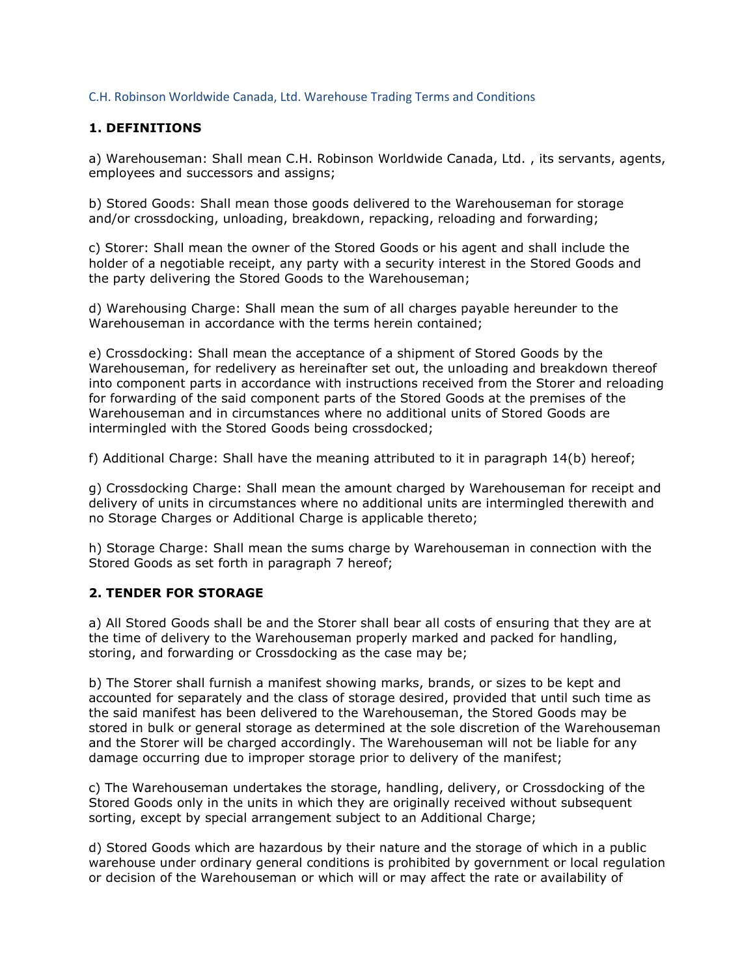C.H. Robinson Worldwide Canada, Ltd. Warehouse Trading Terms and Conditions

## 1. DEFINITIONS

a) Warehouseman: Shall mean C.H. Robinson Worldwide Canada, Ltd. , its servants, agents, employees and successors and assigns;

b) Stored Goods: Shall mean those goods delivered to the Warehouseman for storage and/or crossdocking, unloading, breakdown, repacking, reloading and forwarding;

c) Storer: Shall mean the owner of the Stored Goods or his agent and shall include the holder of a negotiable receipt, any party with a security interest in the Stored Goods and the party delivering the Stored Goods to the Warehouseman;

d) Warehousing Charge: Shall mean the sum of all charges payable hereunder to the Warehouseman in accordance with the terms herein contained;

e) Crossdocking: Shall mean the acceptance of a shipment of Stored Goods by the Warehouseman, for redelivery as hereinafter set out, the unloading and breakdown thereof into component parts in accordance with instructions received from the Storer and reloading for forwarding of the said component parts of the Stored Goods at the premises of the Warehouseman and in circumstances where no additional units of Stored Goods are intermingled with the Stored Goods being crossdocked;

f) Additional Charge: Shall have the meaning attributed to it in paragraph 14(b) hereof;

g) Crossdocking Charge: Shall mean the amount charged by Warehouseman for receipt and delivery of units in circumstances where no additional units are intermingled therewith and no Storage Charges or Additional Charge is applicable thereto;

h) Storage Charge: Shall mean the sums charge by Warehouseman in connection with the Stored Goods as set forth in paragraph 7 hereof;

## 2. TENDER FOR STORAGE

a) All Stored Goods shall be and the Storer shall bear all costs of ensuring that they are at the time of delivery to the Warehouseman properly marked and packed for handling, storing, and forwarding or Crossdocking as the case may be;

b) The Storer shall furnish a manifest showing marks, brands, or sizes to be kept and accounted for separately and the class of storage desired, provided that until such time as the said manifest has been delivered to the Warehouseman, the Stored Goods may be stored in bulk or general storage as determined at the sole discretion of the Warehouseman and the Storer will be charged accordingly. The Warehouseman will not be liable for any damage occurring due to improper storage prior to delivery of the manifest;

c) The Warehouseman undertakes the storage, handling, delivery, or Crossdocking of the Stored Goods only in the units in which they are originally received without subsequent sorting, except by special arrangement subject to an Additional Charge;

d) Stored Goods which are hazardous by their nature and the storage of which in a public warehouse under ordinary general conditions is prohibited by government or local regulation or decision of the Warehouseman or which will or may affect the rate or availability of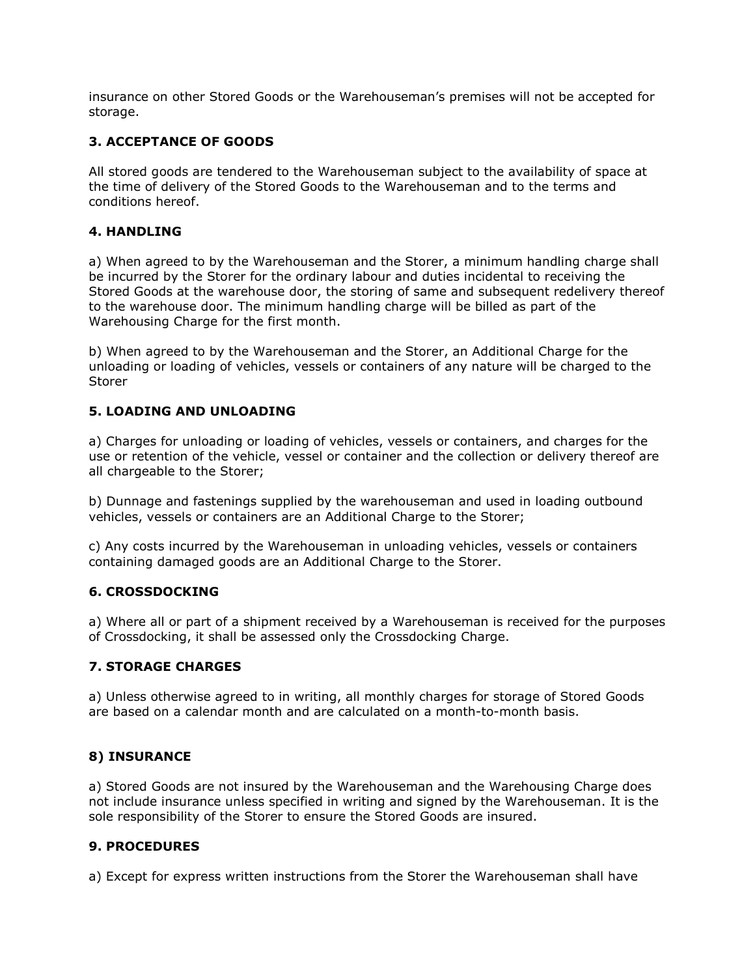insurance on other Stored Goods or the Warehouseman's premises will not be accepted for storage.

## 3. ACCEPTANCE OF GOODS

All stored goods are tendered to the Warehouseman subject to the availability of space at the time of delivery of the Stored Goods to the Warehouseman and to the terms and conditions hereof.

#### 4. HANDLING

a) When agreed to by the Warehouseman and the Storer, a minimum handling charge shall be incurred by the Storer for the ordinary labour and duties incidental to receiving the Stored Goods at the warehouse door, the storing of same and subsequent redelivery thereof to the warehouse door. The minimum handling charge will be billed as part of the Warehousing Charge for the first month.

b) When agreed to by the Warehouseman and the Storer, an Additional Charge for the unloading or loading of vehicles, vessels or containers of any nature will be charged to the Storer

#### 5. LOADING AND UNLOADING

a) Charges for unloading or loading of vehicles, vessels or containers, and charges for the use or retention of the vehicle, vessel or container and the collection or delivery thereof are all chargeable to the Storer;

b) Dunnage and fastenings supplied by the warehouseman and used in loading outbound vehicles, vessels or containers are an Additional Charge to the Storer;

c) Any costs incurred by the Warehouseman in unloading vehicles, vessels or containers containing damaged goods are an Additional Charge to the Storer.

#### 6. CROSSDOCKING

a) Where all or part of a shipment received by a Warehouseman is received for the purposes of Crossdocking, it shall be assessed only the Crossdocking Charge.

#### 7. STORAGE CHARGES

a) Unless otherwise agreed to in writing, all monthly charges for storage of Stored Goods are based on a calendar month and are calculated on a month-to-month basis.

#### 8) INSURANCE

a) Stored Goods are not insured by the Warehouseman and the Warehousing Charge does not include insurance unless specified in writing and signed by the Warehouseman. It is the sole responsibility of the Storer to ensure the Stored Goods are insured.

#### 9. PROCEDURES

a) Except for express written instructions from the Storer the Warehouseman shall have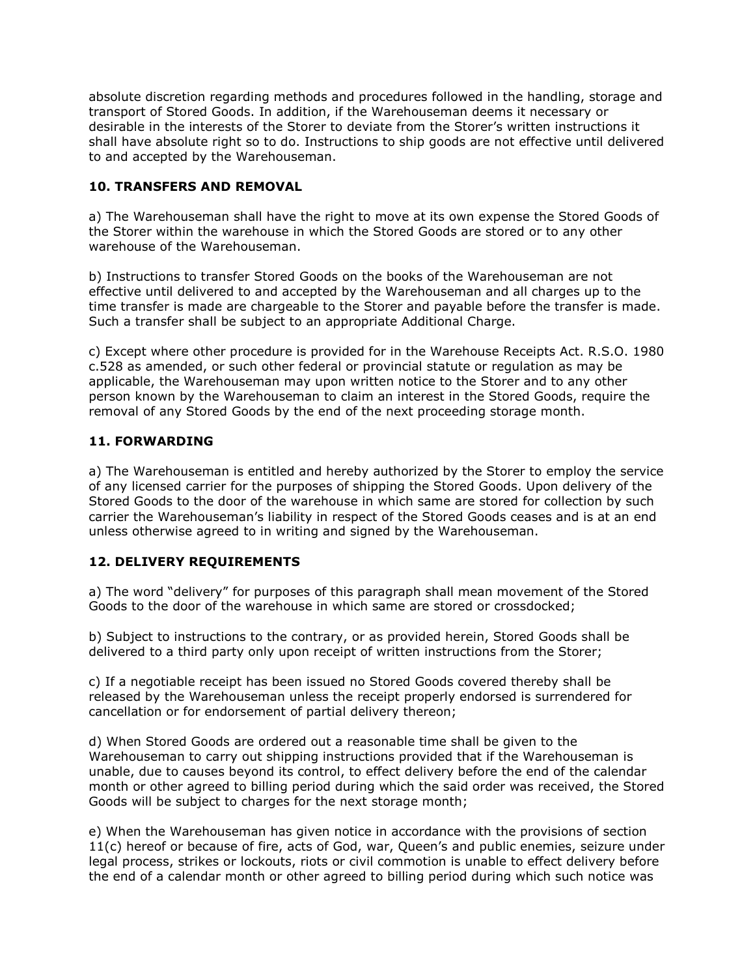absolute discretion regarding methods and procedures followed in the handling, storage and transport of Stored Goods. In addition, if the Warehouseman deems it necessary or desirable in the interests of the Storer to deviate from the Storer's written instructions it shall have absolute right so to do. Instructions to ship goods are not effective until delivered to and accepted by the Warehouseman.

# 10. TRANSFERS AND REMOVAL

a) The Warehouseman shall have the right to move at its own expense the Stored Goods of the Storer within the warehouse in which the Stored Goods are stored or to any other warehouse of the Warehouseman.

b) Instructions to transfer Stored Goods on the books of the Warehouseman are not effective until delivered to and accepted by the Warehouseman and all charges up to the time transfer is made are chargeable to the Storer and payable before the transfer is made. Such a transfer shall be subject to an appropriate Additional Charge.

c) Except where other procedure is provided for in the Warehouse Receipts Act. R.S.O. 1980 c.528 as amended, or such other federal or provincial statute or regulation as may be applicable, the Warehouseman may upon written notice to the Storer and to any other person known by the Warehouseman to claim an interest in the Stored Goods, require the removal of any Stored Goods by the end of the next proceeding storage month.

## 11. FORWARDING

a) The Warehouseman is entitled and hereby authorized by the Storer to employ the service of any licensed carrier for the purposes of shipping the Stored Goods. Upon delivery of the Stored Goods to the door of the warehouse in which same are stored for collection by such carrier the Warehouseman's liability in respect of the Stored Goods ceases and is at an end unless otherwise agreed to in writing and signed by the Warehouseman.

## 12. DELIVERY REQUIREMENTS

a) The word "delivery" for purposes of this paragraph shall mean movement of the Stored Goods to the door of the warehouse in which same are stored or crossdocked;

b) Subject to instructions to the contrary, or as provided herein, Stored Goods shall be delivered to a third party only upon receipt of written instructions from the Storer;

c) If a negotiable receipt has been issued no Stored Goods covered thereby shall be released by the Warehouseman unless the receipt properly endorsed is surrendered for cancellation or for endorsement of partial delivery thereon;

d) When Stored Goods are ordered out a reasonable time shall be given to the Warehouseman to carry out shipping instructions provided that if the Warehouseman is unable, due to causes beyond its control, to effect delivery before the end of the calendar month or other agreed to billing period during which the said order was received, the Stored Goods will be subject to charges for the next storage month;

e) When the Warehouseman has given notice in accordance with the provisions of section 11(c) hereof or because of fire, acts of God, war, Queen's and public enemies, seizure under legal process, strikes or lockouts, riots or civil commotion is unable to effect delivery before the end of a calendar month or other agreed to billing period during which such notice was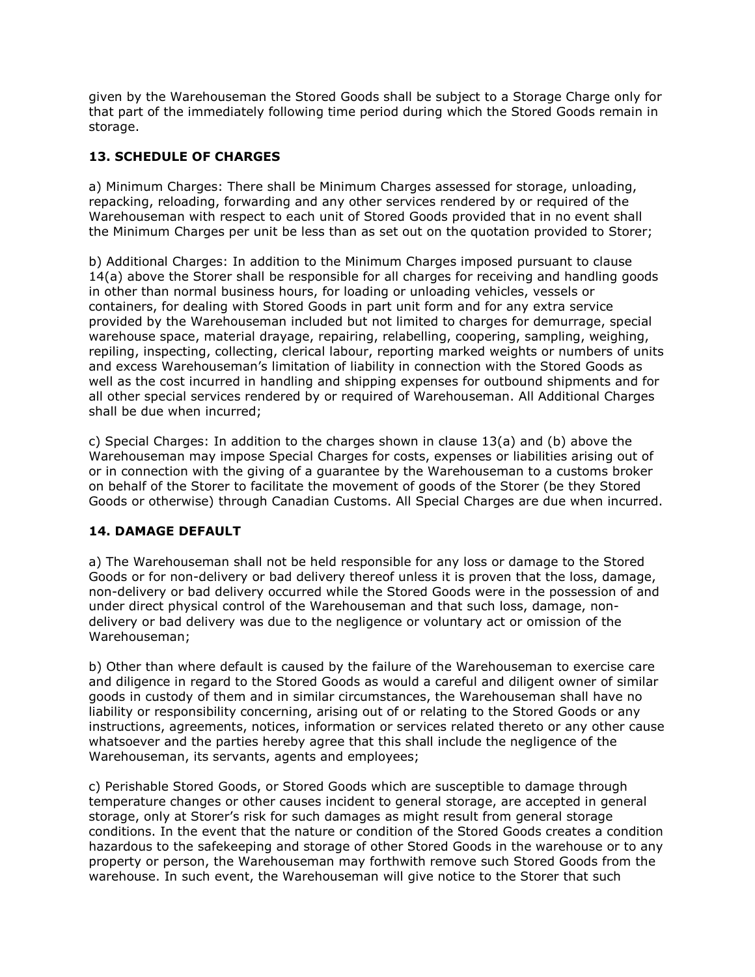given by the Warehouseman the Stored Goods shall be subject to a Storage Charge only for that part of the immediately following time period during which the Stored Goods remain in storage.

# 13. SCHEDULE OF CHARGES

a) Minimum Charges: There shall be Minimum Charges assessed for storage, unloading, repacking, reloading, forwarding and any other services rendered by or required of the Warehouseman with respect to each unit of Stored Goods provided that in no event shall the Minimum Charges per unit be less than as set out on the quotation provided to Storer;

b) Additional Charges: In addition to the Minimum Charges imposed pursuant to clause 14(a) above the Storer shall be responsible for all charges for receiving and handling goods in other than normal business hours, for loading or unloading vehicles, vessels or containers, for dealing with Stored Goods in part unit form and for any extra service provided by the Warehouseman included but not limited to charges for demurrage, special warehouse space, material drayage, repairing, relabelling, coopering, sampling, weighing, repiling, inspecting, collecting, clerical labour, reporting marked weights or numbers of units and excess Warehouseman's limitation of liability in connection with the Stored Goods as well as the cost incurred in handling and shipping expenses for outbound shipments and for all other special services rendered by or required of Warehouseman. All Additional Charges shall be due when incurred;

c) Special Charges: In addition to the charges shown in clause 13(a) and (b) above the Warehouseman may impose Special Charges for costs, expenses or liabilities arising out of or in connection with the giving of a guarantee by the Warehouseman to a customs broker on behalf of the Storer to facilitate the movement of goods of the Storer (be they Stored Goods or otherwise) through Canadian Customs. All Special Charges are due when incurred.

## 14. DAMAGE DEFAULT

a) The Warehouseman shall not be held responsible for any loss or damage to the Stored Goods or for non-delivery or bad delivery thereof unless it is proven that the loss, damage, non-delivery or bad delivery occurred while the Stored Goods were in the possession of and under direct physical control of the Warehouseman and that such loss, damage, nondelivery or bad delivery was due to the negligence or voluntary act or omission of the Warehouseman;

b) Other than where default is caused by the failure of the Warehouseman to exercise care and diligence in regard to the Stored Goods as would a careful and diligent owner of similar goods in custody of them and in similar circumstances, the Warehouseman shall have no liability or responsibility concerning, arising out of or relating to the Stored Goods or any instructions, agreements, notices, information or services related thereto or any other cause whatsoever and the parties hereby agree that this shall include the negligence of the Warehouseman, its servants, agents and employees;

c) Perishable Stored Goods, or Stored Goods which are susceptible to damage through temperature changes or other causes incident to general storage, are accepted in general storage, only at Storer's risk for such damages as might result from general storage conditions. In the event that the nature or condition of the Stored Goods creates a condition hazardous to the safekeeping and storage of other Stored Goods in the warehouse or to any property or person, the Warehouseman may forthwith remove such Stored Goods from the warehouse. In such event, the Warehouseman will give notice to the Storer that such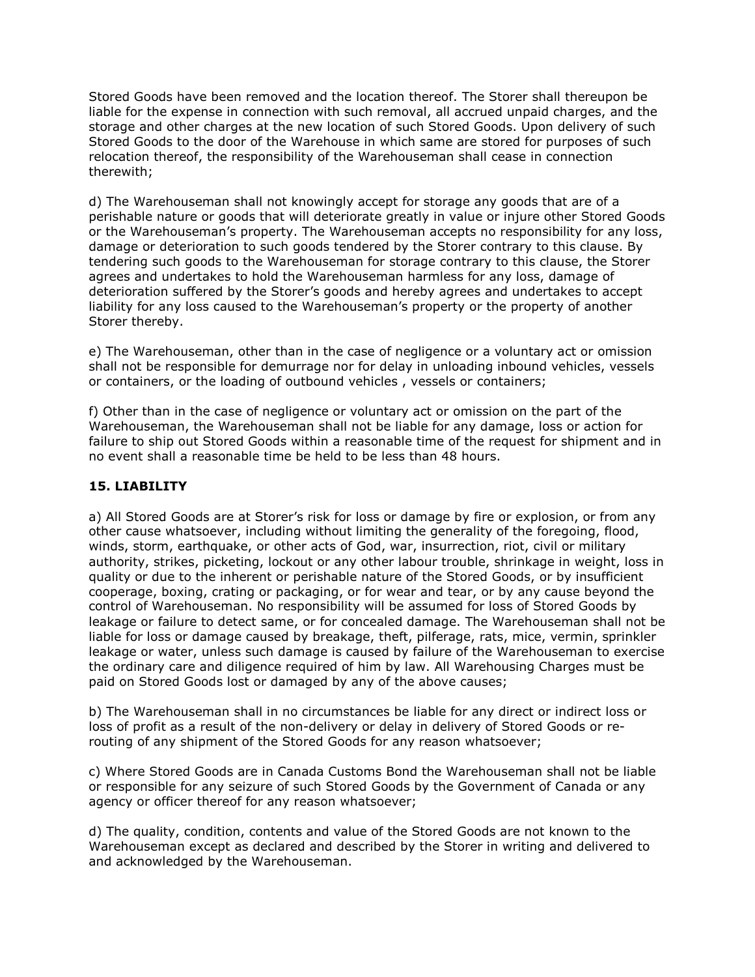Stored Goods have been removed and the location thereof. The Storer shall thereupon be liable for the expense in connection with such removal, all accrued unpaid charges, and the storage and other charges at the new location of such Stored Goods. Upon delivery of such Stored Goods to the door of the Warehouse in which same are stored for purposes of such relocation thereof, the responsibility of the Warehouseman shall cease in connection therewith;

d) The Warehouseman shall not knowingly accept for storage any goods that are of a perishable nature or goods that will deteriorate greatly in value or injure other Stored Goods or the Warehouseman's property. The Warehouseman accepts no responsibility for any loss, damage or deterioration to such goods tendered by the Storer contrary to this clause. By tendering such goods to the Warehouseman for storage contrary to this clause, the Storer agrees and undertakes to hold the Warehouseman harmless for any loss, damage of deterioration suffered by the Storer's goods and hereby agrees and undertakes to accept liability for any loss caused to the Warehouseman's property or the property of another Storer thereby.

e) The Warehouseman, other than in the case of negligence or a voluntary act or omission shall not be responsible for demurrage nor for delay in unloading inbound vehicles, vessels or containers, or the loading of outbound vehicles , vessels or containers;

f) Other than in the case of negligence or voluntary act or omission on the part of the Warehouseman, the Warehouseman shall not be liable for any damage, loss or action for failure to ship out Stored Goods within a reasonable time of the request for shipment and in no event shall a reasonable time be held to be less than 48 hours.

# 15. LIABILITY

a) All Stored Goods are at Storer's risk for loss or damage by fire or explosion, or from any other cause whatsoever, including without limiting the generality of the foregoing, flood, winds, storm, earthquake, or other acts of God, war, insurrection, riot, civil or military authority, strikes, picketing, lockout or any other labour trouble, shrinkage in weight, loss in quality or due to the inherent or perishable nature of the Stored Goods, or by insufficient cooperage, boxing, crating or packaging, or for wear and tear, or by any cause beyond the control of Warehouseman. No responsibility will be assumed for loss of Stored Goods by leakage or failure to detect same, or for concealed damage. The Warehouseman shall not be liable for loss or damage caused by breakage, theft, pilferage, rats, mice, vermin, sprinkler leakage or water, unless such damage is caused by failure of the Warehouseman to exercise the ordinary care and diligence required of him by law. All Warehousing Charges must be paid on Stored Goods lost or damaged by any of the above causes;

b) The Warehouseman shall in no circumstances be liable for any direct or indirect loss or loss of profit as a result of the non-delivery or delay in delivery of Stored Goods or rerouting of any shipment of the Stored Goods for any reason whatsoever;

c) Where Stored Goods are in Canada Customs Bond the Warehouseman shall not be liable or responsible for any seizure of such Stored Goods by the Government of Canada or any agency or officer thereof for any reason whatsoever;

d) The quality, condition, contents and value of the Stored Goods are not known to the Warehouseman except as declared and described by the Storer in writing and delivered to and acknowledged by the Warehouseman.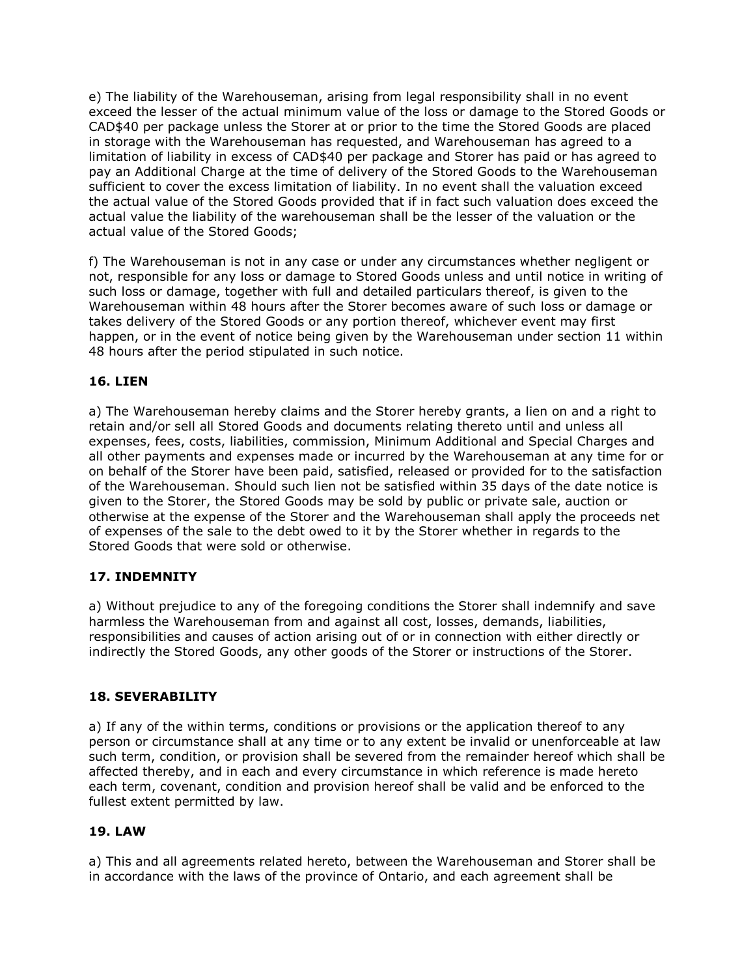e) The liability of the Warehouseman, arising from legal responsibility shall in no event exceed the lesser of the actual minimum value of the loss or damage to the Stored Goods or CAD\$40 per package unless the Storer at or prior to the time the Stored Goods are placed in storage with the Warehouseman has requested, and Warehouseman has agreed to a limitation of liability in excess of CAD\$40 per package and Storer has paid or has agreed to pay an Additional Charge at the time of delivery of the Stored Goods to the Warehouseman sufficient to cover the excess limitation of liability. In no event shall the valuation exceed the actual value of the Stored Goods provided that if in fact such valuation does exceed the actual value the liability of the warehouseman shall be the lesser of the valuation or the actual value of the Stored Goods;

f) The Warehouseman is not in any case or under any circumstances whether negligent or not, responsible for any loss or damage to Stored Goods unless and until notice in writing of such loss or damage, together with full and detailed particulars thereof, is given to the Warehouseman within 48 hours after the Storer becomes aware of such loss or damage or takes delivery of the Stored Goods or any portion thereof, whichever event may first happen, or in the event of notice being given by the Warehouseman under section 11 within 48 hours after the period stipulated in such notice.

### 16. LIEN

a) The Warehouseman hereby claims and the Storer hereby grants, a lien on and a right to retain and/or sell all Stored Goods and documents relating thereto until and unless all expenses, fees, costs, liabilities, commission, Minimum Additional and Special Charges and all other payments and expenses made or incurred by the Warehouseman at any time for or on behalf of the Storer have been paid, satisfied, released or provided for to the satisfaction of the Warehouseman. Should such lien not be satisfied within 35 days of the date notice is given to the Storer, the Stored Goods may be sold by public or private sale, auction or otherwise at the expense of the Storer and the Warehouseman shall apply the proceeds net of expenses of the sale to the debt owed to it by the Storer whether in regards to the Stored Goods that were sold or otherwise.

## 17. INDEMNITY

a) Without prejudice to any of the foregoing conditions the Storer shall indemnify and save harmless the Warehouseman from and against all cost, losses, demands, liabilities, responsibilities and causes of action arising out of or in connection with either directly or indirectly the Stored Goods, any other goods of the Storer or instructions of the Storer.

#### 18. SEVERABILITY

a) If any of the within terms, conditions or provisions or the application thereof to any person or circumstance shall at any time or to any extent be invalid or unenforceable at law such term, condition, or provision shall be severed from the remainder hereof which shall be affected thereby, and in each and every circumstance in which reference is made hereto each term, covenant, condition and provision hereof shall be valid and be enforced to the fullest extent permitted by law.

#### 19. LAW

a) This and all agreements related hereto, between the Warehouseman and Storer shall be in accordance with the laws of the province of Ontario, and each agreement shall be